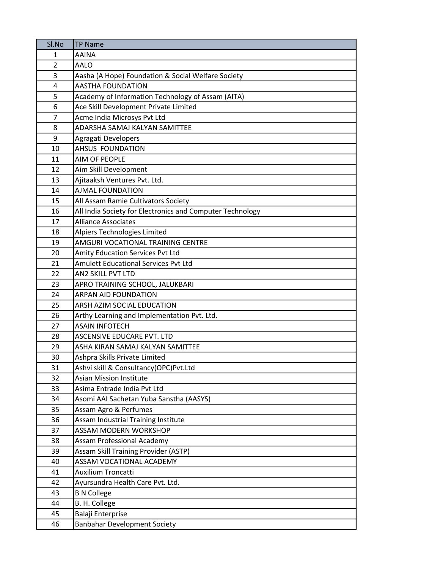| Sl.No          | <b>TP Name</b>                                                     |
|----------------|--------------------------------------------------------------------|
| 1              | <b>AAINA</b>                                                       |
| $\overline{2}$ | AALO                                                               |
| 3              | Aasha (A Hope) Foundation & Social Welfare Society                 |
| 4              | <b>AASTHA FOUNDATION</b>                                           |
| 5              | Academy of Information Technology of Assam (AITA)                  |
| 6              | Ace Skill Development Private Limited                              |
| $\overline{7}$ | Acme India Microsys Pvt Ltd                                        |
| 8              | ADARSHA SAMAJ KALYAN SAMITTEE                                      |
| 9              | Agragati Developers                                                |
| 10             | AHSUS FOUNDATION                                                   |
| 11             | <b>AIM OF PEOPLE</b>                                               |
| 12             | Aim Skill Development                                              |
| 13             | Ajitaaksh Ventures Pvt. Ltd.                                       |
| 14             | AJMAL FOUNDATION                                                   |
| 15             | All Assam Ramie Cultivators Society                                |
| 16             | All India Society for Electronics and Computer Technology          |
| 17             | <b>Alliance Associates</b>                                         |
| 18             | Alpiers Technologies Limited                                       |
| 19             | AMGURI VOCATIONAL TRAINING CENTRE                                  |
| 20             | Amity Education Services Pvt Ltd                                   |
| 21             | <b>Amulett Educational Services Pvt Ltd</b>                        |
| 22             | AN2 SKILL PVT LTD                                                  |
| 23             | APRO TRAINING SCHOOL, JALUKBARI                                    |
| 24             | <b>ARPAN AID FOUNDATION</b>                                        |
| 25             | ARSH AZIM SOCIAL EDUCATION                                         |
| 26             | Arthy Learning and Implementation Pvt. Ltd.                        |
| 27             | <b>ASAIN INFOTECH</b>                                              |
| 28             | ASCENSIVE EDUCARE PVT. LTD                                         |
| 29             | ASHA KIRAN SAMAJ KALYAN SAMITTEE                                   |
| 30             | Ashpra Skills Private Limited                                      |
| 31             | Ashvi skill & Consultancy(OPC)Pvt.Ltd                              |
| 32             | <b>Asian Mission Institute</b>                                     |
| 33             | Asima Entrade India Pvt Ltd                                        |
| 34             | Asomi AAI Sachetan Yuba Sanstha (AASYS)                            |
| 35             | Assam Agro & Perfumes                                              |
| 36             | Assam Industrial Training Institute                                |
| 37             | <b>ASSAM MODERN WORKSHOP</b>                                       |
| 38<br>39       | Assam Professional Academy<br>Assam Skill Training Provider (ASTP) |
| 40             | ASSAM VOCATIONAL ACADEMY                                           |
| 41             | Auxilium Troncatti                                                 |
| 42             | Ayursundra Health Care Pvt. Ltd.                                   |
| 43             | <b>B N College</b>                                                 |
| 44             | B. H. College                                                      |
| 45             | Balaji Enterprise                                                  |
| 46             | <b>Banbahar Development Society</b>                                |
|                |                                                                    |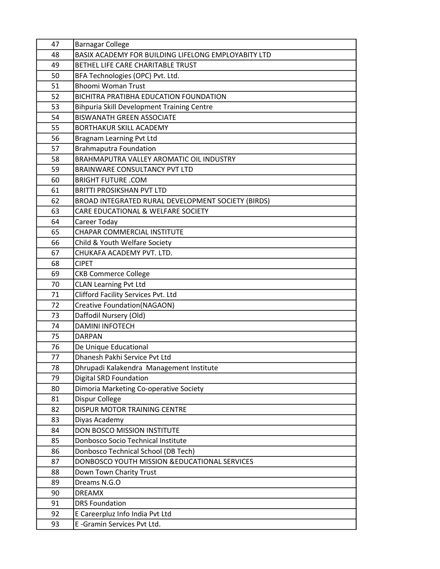| 47 | <b>Barnagar College</b>                             |
|----|-----------------------------------------------------|
| 48 | BASIX ACADEMY FOR BUILDING LIFELONG EMPLOYABITY LTD |
| 49 | BETHEL LIFE CARE CHARITABLE TRUST                   |
| 50 | BFA Technologies (OPC) Pvt. Ltd.                    |
| 51 | <b>Bhoomi Woman Trust</b>                           |
| 52 | BICHITRA PRATIBHA EDUCATION FOUNDATION              |
| 53 | <b>Bihpuria Skill Development Training Centre</b>   |
| 54 | <b>BISWANATH GREEN ASSOCIATE</b>                    |
| 55 | <b>BORTHAKUR SKILL ACADEMY</b>                      |
| 56 | Bragnam Learning Pvt Ltd                            |
| 57 | <b>Brahmaputra Foundation</b>                       |
| 58 | BRAHMAPUTRA VALLEY AROMATIC OIL INDUSTRY            |
| 59 | BRAINWARE CONSULTANCY PVT LTD                       |
| 60 | <b>BRIGHT FUTURE .COM</b>                           |
| 61 | <b>BRITTI PROSIKSHAN PVT LTD</b>                    |
| 62 | BROAD INTEGRATED RURAL DEVELOPMENT SOCIETY (BIRDS)  |
| 63 | CARE EDUCATIONAL & WELFARE SOCIETY                  |
| 64 | Career Today                                        |
| 65 | <b>CHAPAR COMMERCIAL INSTITUTE</b>                  |
| 66 | Child & Youth Welfare Society                       |
| 67 | CHUKAFA ACADEMY PVT. LTD.                           |
| 68 | <b>CIPET</b>                                        |
| 69 | <b>CKB Commerce College</b>                         |
| 70 | <b>CLAN Learning Pvt Ltd</b>                        |
| 71 | Clifford Facility Services Pvt. Ltd                 |
| 72 | Creative Foundation(NAGAON)                         |
| 73 | Daffodil Nursery (Old)                              |
| 74 | <b>DAMINI INFOTECH</b>                              |
| 75 | <b>DARPAN</b>                                       |
| 76 | De Unique Educational                               |
| 77 | Dhanesh Pakhi Service Pyt Ltd                       |
| 78 | Dhrupadi Kalakendra Management Institute            |
| 79 | <b>Digital SRD Foundation</b>                       |
| 80 | Dimoria Marketing Co-operative Society              |
| 81 | Dispur College                                      |
| 82 | DISPUR MOTOR TRAINING CENTRE                        |
| 83 | Diyas Academy                                       |
| 84 | DON BOSCO MISSION INSTITUTE                         |
| 85 | Donbosco Socio Technical Institute                  |
| 86 | Donbosco Technical School (DB Tech)                 |
| 87 | DONBOSCO YOUTH MISSION & EDUCATIONAL SERVICES       |
| 88 | Down Town Charity Trust                             |
| 89 | Dreams N.G.O                                        |
| 90 | <b>DREAMX</b>                                       |
| 91 | <b>DRS Foundation</b>                               |
| 92 | E Careerpluz Info India Pvt Ltd                     |
| 93 | E-Gramin Services Pvt Ltd.                          |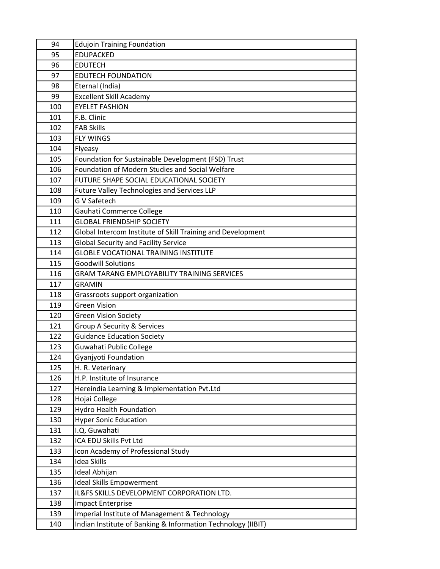| 94         | <b>Edujoin Training Foundation</b>                           |
|------------|--------------------------------------------------------------|
| 95         | <b>EDUPACKED</b>                                             |
| 96         | <b>EDUTECH</b>                                               |
| 97         | <b>EDUTECH FOUNDATION</b>                                    |
| 98         | Eternal (India)                                              |
| 99         | <b>Excellent Skill Academy</b>                               |
| 100        | <b>EYELET FASHION</b>                                        |
| 101        | F.B. Clinic                                                  |
| 102        | <b>FAB Skills</b>                                            |
| 103        | <b>FLY WINGS</b>                                             |
| 104        | Flyeasy                                                      |
| 105        | Foundation for Sustainable Development (FSD) Trust           |
| 106        | <b>Foundation of Modern Studies and Social Welfare</b>       |
| 107        | FUTURE SHAPE SOCIAL EDUCATIONAL SOCIETY                      |
| 108        | Future Valley Technologies and Services LLP                  |
| 109        | <b>G V Safetech</b>                                          |
| 110        | Gauhati Commerce College                                     |
| 111        | <b>GLOBAL FRIENDSHIP SOCIETY</b>                             |
| 112        | Global Intercom Institute of Skill Training and Development  |
| 113        | <b>Global Security and Facility Service</b>                  |
| 114        | <b>GLOBLE VOCATIONAL TRAINING INSTITUTE</b>                  |
| 115        | <b>Goodwill Solutions</b>                                    |
| 116        | <b>GRAM TARANG EMPLOYABILITY TRAINING SERVICES</b>           |
| 117        | <b>GRAMIN</b>                                                |
| 118        | Grassroots support organization                              |
| 119        | <b>Green Vision</b>                                          |
| 120        | <b>Green Vision Society</b>                                  |
| 121        | Group A Security & Services                                  |
| 122        | <b>Guidance Education Society</b>                            |
| 123        | Guwahati Public College                                      |
| 124        | Gyanjyoti Foundation                                         |
| 125        | H. R. Veterinary                                             |
| 126        | H.P. Institute of Insurance                                  |
| 127        | Hereindia Learning & Implementation Pvt.Ltd                  |
| 128        | Hojai College                                                |
| 129        | <b>Hydro Health Foundation</b>                               |
| 130        | <b>Hyper Sonic Education</b><br>I.Q. Guwahati                |
| 131        | ICA EDU Skills Pvt Ltd                                       |
| 132<br>133 |                                                              |
| 134        | Icon Academy of Professional Study<br><b>Idea Skills</b>     |
| 135        | Ideal Abhijan                                                |
| 136        | <b>Ideal Skills Empowerment</b>                              |
| 137        | IL&FS SKILLS DEVELOPMENT CORPORATION LTD.                    |
| 138        | <b>Impact Enterprise</b>                                     |
| 139        | Imperial Institute of Management & Technology                |
| 140        | Indian Institute of Banking & Information Technology (IIBIT) |
|            |                                                              |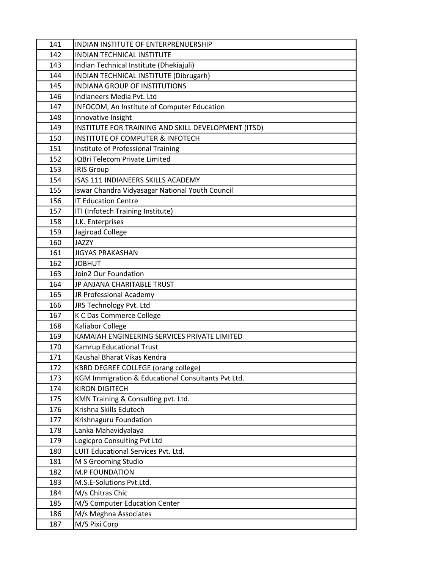| 141 | INDIAN INSTITUTE OF ENTERPRENUERSHIP                |
|-----|-----------------------------------------------------|
| 142 | <b>INDIAN TECHNICAL INSTITUTE</b>                   |
| 143 | Indian Technical Institute (Dhekiajuli)             |
| 144 | INDIAN TECHNICAL INSTITUTE (Dibrugarh)              |
| 145 | <b>INDIANA GROUP OF INSTITUTIONS</b>                |
| 146 | Indianeers Media Pvt. Ltd                           |
| 147 | INFOCOM, An Institute of Computer Education         |
| 148 | Innovative Insight                                  |
| 149 | INSTITUTE FOR TRAINING AND SKILL DEVELOPMENT (ITSD) |
| 150 | <b>INSTITUTE OF COMPUTER &amp; INFOTECH</b>         |
| 151 | Institute of Professional Training                  |
| 152 | <b>IQBri Telecom Private Limited</b>                |
| 153 | <b>IRIS Group</b>                                   |
| 154 | ISAS 111 INDIANEERS SKILLS ACADEMY                  |
| 155 | Iswar Chandra Vidyasagar National Youth Council     |
| 156 | <b>IT Education Centre</b>                          |
| 157 | ITI (Infotech Training Institute)                   |
| 158 | J.K. Enterprises                                    |
| 159 | Jagiroad College                                    |
| 160 | <b>JAZZY</b>                                        |
| 161 | <b>JIGYAS PRAKASHAN</b>                             |
| 162 | <b>JOBHUT</b>                                       |
| 163 | Join2 Our Foundation                                |
| 164 | JP ANJANA CHARITABLE TRUST                          |
| 165 | JR Professional Academy                             |
| 166 | JRS Technology Pvt. Ltd                             |
| 167 | K C Das Commerce College                            |
| 168 | Kaliabor College                                    |
| 169 | KAMAIAH ENGINEERING SERVICES PRIVATE LIMITED        |
| 170 | Kamrup Educational Trust                            |
| 171 | Kaushal Bharat Vikas Kendra                         |
| 172 | KBRD DEGREE COLLEGE (orang college)                 |
| 173 | KGM Immigration & Educational Consultants Pvt Ltd.  |
| 174 | <b>KIRON DIGITECH</b>                               |
| 175 | KMN Training & Consulting pvt. Ltd.                 |
| 176 | Krishna Skills Edutech                              |
| 177 | Krishnaguru Foundation                              |
| 178 | Lanka Mahavidyalaya                                 |
| 179 | Logicpro Consulting Pvt Ltd                         |
| 180 | LUIT Educational Services Pvt. Ltd.                 |
| 181 | M S Grooming Studio                                 |
| 182 | <b>M.P FOUNDATION</b>                               |
| 183 | M.S.E-Solutions Pvt.Ltd.                            |
| 184 | M/s Chitras Chic                                    |
| 185 | M/S Computer Education Center                       |
| 186 | M/s Meghna Associates                               |
| 187 | M/S Pixi Corp                                       |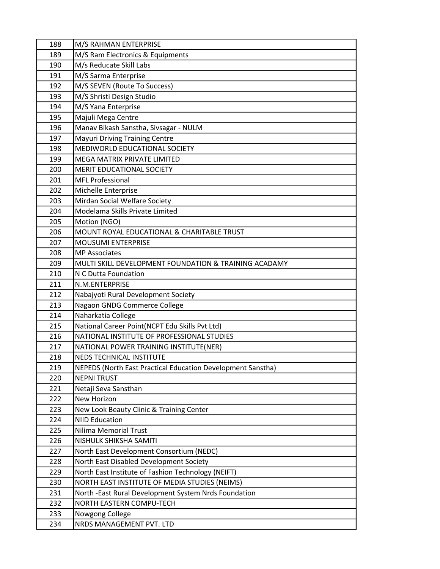| 188 | M/S RAHMAN ENTERPRISE                                       |
|-----|-------------------------------------------------------------|
| 189 | M/S Ram Electronics & Equipments                            |
| 190 | M/s Reducate Skill Labs                                     |
| 191 | M/S Sarma Enterprise                                        |
| 192 | M/S SEVEN (Route To Success)                                |
| 193 | M/S Shristi Design Studio                                   |
| 194 | M/S Yana Enterprise                                         |
| 195 | Majuli Mega Centre                                          |
| 196 | Manav Bikash Sanstha, Sivsagar - NULM                       |
| 197 | <b>Mayuri Driving Training Centre</b>                       |
| 198 | MEDIWORLD EDUCATIONAL SOCIETY                               |
| 199 | MEGA MATRIX PRIVATE LIMITED                                 |
| 200 | MERIT EDUCATIONAL SOCIETY                                   |
| 201 | <b>MFL Professional</b>                                     |
| 202 | Michelle Enterprise                                         |
| 203 | Mirdan Social Welfare Society                               |
| 204 | Modelama Skills Private Limited                             |
| 205 | Motion (NGO)                                                |
| 206 | MOUNT ROYAL EDUCATIONAL & CHARITABLE TRUST                  |
| 207 | <b>MOUSUMI ENTERPRISE</b>                                   |
| 208 | <b>MP Associates</b>                                        |
| 209 | MULTI SKILL DEVELOPMENT FOUNDATION & TRAINING ACADAMY       |
| 210 | N C Dutta Foundation                                        |
| 211 | N.M.ENTERPRISE                                              |
| 212 | Nabajyoti Rural Development Society                         |
| 213 | Nagaon GNDG Commerce College                                |
| 214 | Naharkatia College                                          |
| 215 | National Career Point(NCPT Edu Skills Pvt Ltd)              |
| 216 | NATIONAL INSTITUTE OF PROFESSIONAL STUDIES                  |
| 217 | NATIONAL POWER TRAINING INSTITUTE(NER)                      |
| 218 | NEDS TECHNICAL INSTITUTE                                    |
| 219 | NEPEDS (North East Practical Education Development Sanstha) |
| 220 | <b>NEPNI TRUST</b>                                          |
| 221 | Netaji Seva Sansthan                                        |
| 222 | New Horizon                                                 |
| 223 | New Look Beauty Clinic & Training Center                    |
| 224 | <b>NIID Education</b>                                       |
| 225 | <b>Nilima Memorial Trust</b>                                |
| 226 | NISHULK SHIKSHA SAMITI                                      |
| 227 | North East Development Consortium (NEDC)                    |
| 228 | North East Disabled Development Society                     |
| 229 | North East Institute of Fashion Technology (NEIFT)          |
| 230 | NORTH EAST INSTITUTE OF MEDIA STUDIES (NEIMS)               |
| 231 | North -East Rural Development System Nrds Foundation        |
| 232 | NORTH EASTERN COMPU-TECH                                    |
| 233 | Nowgong College                                             |
| 234 | NRDS MANAGEMENT PVT. LTD                                    |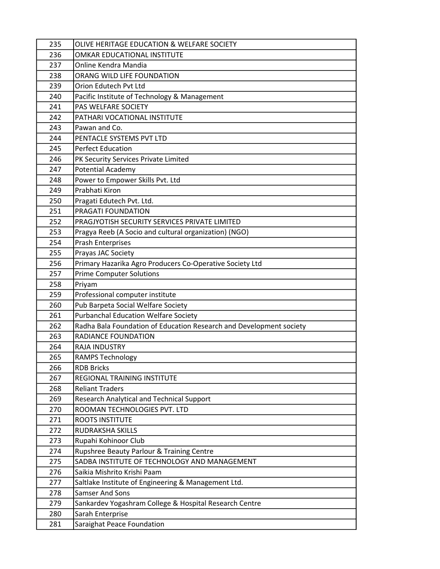| 235        | OLIVE HERITAGE EDUCATION & WELFARE SOCIETY                                                |
|------------|-------------------------------------------------------------------------------------------|
| 236        | OMKAR EDUCATIONAL INSTITUTE                                                               |
| 237        | Online Kendra Mandia                                                                      |
| 238        | ORANG WILD LIFE FOUNDATION                                                                |
| 239        | Orion Edutech Pvt Ltd                                                                     |
| 240        | Pacific Institute of Technology & Management                                              |
| 241        | PAS WELFARE SOCIETY                                                                       |
| 242        | PATHARI VOCATIONAL INSTITUTE                                                              |
| 243        | Pawan and Co.                                                                             |
| 244        | PENTACLE SYSTEMS PVT LTD                                                                  |
| 245        | <b>Perfect Education</b>                                                                  |
| 246        | PK Security Services Private Limited                                                      |
| 247        | <b>Potential Academy</b>                                                                  |
| 248        | Power to Empower Skills Pvt. Ltd                                                          |
| 249        | Prabhati Kiron                                                                            |
| 250        | Pragati Edutech Pvt. Ltd.                                                                 |
| 251        | PRAGATI FOUNDATION                                                                        |
| 252        | PRAGJYOTISH SECURITY SERVICES PRIVATE LIMITED                                             |
| 253        | Pragya Reeb (A Socio and cultural organization) (NGO)                                     |
| 254        | <b>Prash Enterprises</b>                                                                  |
| 255        | Prayas JAC Society                                                                        |
| 256        | Primary Hazarika Agro Producers Co-Operative Society Ltd                                  |
| 257        | <b>Prime Computer Solutions</b>                                                           |
| 258        | Priyam                                                                                    |
| 259        | Professional computer institute                                                           |
| 260        | Pub Barpeta Social Welfare Society                                                        |
| 261        | <b>Purbanchal Education Welfare Society</b>                                               |
| 262        | Radha Bala Foundation of Education Research and Development society                       |
| 263        | RADIANCE FOUNDATION                                                                       |
| 264        | <b>RAJA INDUSTRY</b>                                                                      |
| 265        | <b>RAMPS Technology</b>                                                                   |
| 266        | <b>RDB Bricks</b>                                                                         |
| 267        | REGIONAL TRAINING INSTITUTE                                                               |
| 268        | <b>Reliant Traders</b>                                                                    |
| 269        | Research Analytical and Technical Support                                                 |
| 270        | ROOMAN TECHNOLOGIES PVT. LTD                                                              |
| 271        | <b>ROOTS INSTITUTE</b>                                                                    |
| 272        | RUDRAKSHA SKILLS                                                                          |
| 273<br>274 | Rupahi Kohinoor Club                                                                      |
| 275        | Rupshree Beauty Parlour & Training Centre<br>SADBA INSTITUTE OF TECHNOLOGY AND MANAGEMENT |
| 276        | Saikia Mishrito Krishi Paam                                                               |
| 277        | Saltlake Institute of Engineering & Management Ltd.                                       |
| 278        | <b>Samser And Sons</b>                                                                    |
| 279        | Sankardev Yogashram College & Hospital Research Centre                                    |
| 280        | Sarah Enterprise                                                                          |
| 281        |                                                                                           |
|            | Saraighat Peace Foundation                                                                |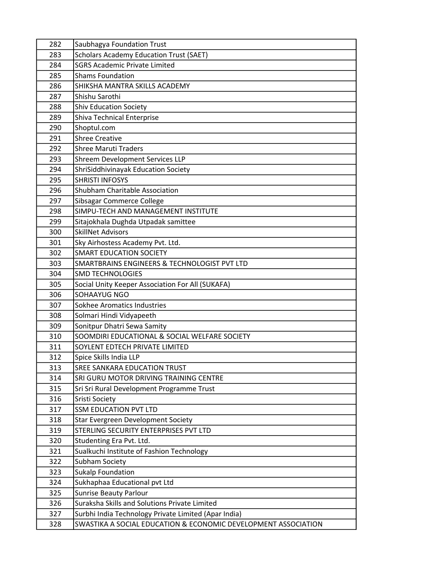| 282        | Saubhagya Foundation Trust                                             |
|------------|------------------------------------------------------------------------|
| 283        | <b>Scholars Academy Education Trust (SAET)</b>                         |
| 284        | <b>SGRS Academic Private Limited</b>                                   |
| 285        | <b>Shams Foundation</b>                                                |
| 286        | SHIKSHA MANTRA SKILLS ACADEMY                                          |
| 287        | Shishu Sarothi                                                         |
| 288        | <b>Shiv Education Society</b>                                          |
| 289        | <b>Shiva Technical Enterprise</b>                                      |
| 290        | Shoptul.com                                                            |
| 291        | <b>Shree Creative</b>                                                  |
| 292        | <b>Shree Maruti Traders</b>                                            |
| 293        | Shreem Development Services LLP                                        |
| 294        | ShriSiddhivinayak Education Society                                    |
| 295        | <b>SHRISTI INFOSYS</b>                                                 |
| 296        | <b>Shubham Charitable Association</b>                                  |
| 297        | Sibsagar Commerce College                                              |
| 298        | SIMPU-TECH AND MANAGEMENT INSTITUTE                                    |
| 299        | Sitajokhala Dughda Utpadak samittee                                    |
| 300        | <b>SkillNet Advisors</b>                                               |
| 301        | Sky Airhostess Academy Pvt. Ltd.                                       |
| 302        | <b>SMART EDUCATION SOCIETY</b>                                         |
| 303        | SMARTBRAINS ENGINEERS & TECHNOLOGIST PVT LTD                           |
| 304        | <b>SMD TECHNOLOGIES</b>                                                |
| 305        | Social Unity Keeper Association For All (SUKAFA)                       |
| 306        | SOHAAYUG NGO                                                           |
| 307        | Sokhee Aromatics Industries                                            |
| 308        | Solmari Hindi Vidyapeeth                                               |
| 309        | Sonitpur Dhatri Sewa Samity                                            |
| 310        | SOOMDIRI EDUCATIONAL & SOCIAL WELFARE SOCIETY                          |
| 311        | SOYLENT EDTECH PRIVATE LIMITED                                         |
| 312<br>313 | Spice Skills India LLP                                                 |
| 314        | SREE SANKARA EDUCATION TRUST<br>SRI GURU MOTOR DRIVING TRAINING CENTRE |
| 315        |                                                                        |
| 316        | Sri Sri Rural Development Programme Trust<br>Sristi Society            |
| 317        | <b>SSM EDUCATION PVT LTD</b>                                           |
| 318        | <b>Star Evergreen Development Society</b>                              |
| 319        | STERLING SECURITY ENTERPRISES PVT LTD                                  |
| 320        | Studenting Era Pvt. Ltd.                                               |
| 321        | Sualkuchi Institute of Fashion Technology                              |
| 322        | Subham Society                                                         |
| 323        | <b>Sukalp Foundation</b>                                               |
| 324        | Sukhaphaa Educational pvt Ltd                                          |
| 325        | <b>Sunrise Beauty Parlour</b>                                          |
| 326        | Suraksha Skills and Solutions Private Limited                          |
| 327        | Surbhi India Technology Private Limited (Apar India)                   |
| 328        | SWASTIKA A SOCIAL EDUCATION & ECONOMIC DEVELOPMENT ASSOCIATION         |
|            |                                                                        |